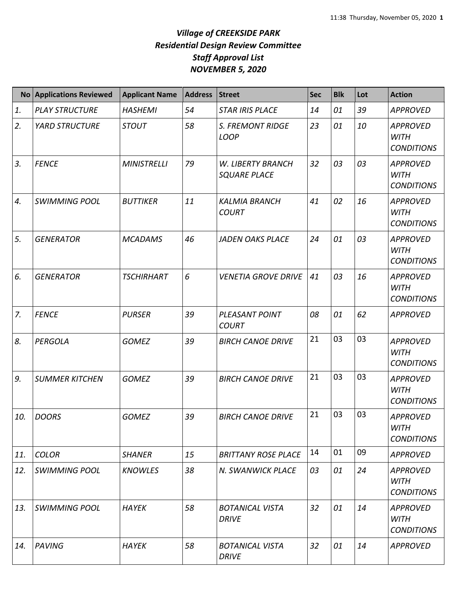|     | No Applications Reviewed | <b>Applicant Name</b> | <b>Address</b> | <b>Street</b>                            | Sec | <b>Blk</b> | Lot | <b>Action</b>                                       |
|-----|--------------------------|-----------------------|----------------|------------------------------------------|-----|------------|-----|-----------------------------------------------------|
| 1.  | <b>PLAY STRUCTURE</b>    | <b>HASHEMI</b>        | 54             | <b>STAR IRIS PLACE</b>                   | 14  | 01         | 39  | <b>APPROVED</b>                                     |
| 2.  | <b>YARD STRUCTURE</b>    | <b>STOUT</b>          | 58             | <b>S. FREMONT RIDGE</b><br><b>LOOP</b>   | 23  | 01         | 10  | <b>APPROVED</b><br><b>WITH</b><br><b>CONDITIONS</b> |
| 3.  | <b>FENCE</b>             | <b>MINISTRELLI</b>    | 79             | W. LIBERTY BRANCH<br><b>SQUARE PLACE</b> | 32  | 03         | 03  | <b>APPROVED</b><br><b>WITH</b><br><b>CONDITIONS</b> |
| 4.  | <b>SWIMMING POOL</b>     | <b>BUTTIKER</b>       | 11             | <b>KALMIA BRANCH</b><br><b>COURT</b>     | 41  | 02         | 16  | <b>APPROVED</b><br><b>WITH</b><br><b>CONDITIONS</b> |
| 5.  | <b>GENERATOR</b>         | <b>MCADAMS</b>        | 46             | <b>JADEN OAKS PLACE</b>                  | 24  | 01         | 03  | <b>APPROVED</b><br><b>WITH</b><br><b>CONDITIONS</b> |
| 6.  | <b>GENERATOR</b>         | <b>TSCHIRHART</b>     | 6              | <b>VENETIA GROVE DRIVE</b>               | 41  | 03         | 16  | <b>APPROVED</b><br><b>WITH</b><br><b>CONDITIONS</b> |
| 7.  | <b>FENCE</b>             | <b>PURSER</b>         | 39             | PLEASANT POINT<br><b>COURT</b>           | 08  | 01         | 62  | <b>APPROVED</b>                                     |
| 8.  | PERGOLA                  | <b>GOMEZ</b>          | 39             | <b>BIRCH CANOE DRIVE</b>                 | 21  | 03         | 03  | <b>APPROVED</b><br><b>WITH</b><br><b>CONDITIONS</b> |
| 9.  | <b>SUMMER KITCHEN</b>    | <b>GOMEZ</b>          | 39             | <b>BIRCH CANOE DRIVE</b>                 | 21  | 03         | 03  | <b>APPROVED</b><br><b>WITH</b><br><b>CONDITIONS</b> |
| 10. | <b>DOORS</b>             | <b>GOMEZ</b>          | 39             | <b>BIRCH CANOE DRIVE</b>                 | 21  | 03         | 03  | <b>APPROVED</b><br>WITH<br><b>CONDITIONS</b>        |
| 11. | <b>COLOR</b>             | <b>SHANER</b>         | 15             | <b>BRITTANY ROSE PLACE</b>               | 14  | 01         | 09  | <b>APPROVED</b>                                     |
| 12. | <b>SWIMMING POOL</b>     | <b>KNOWLES</b>        | 38             | N. SWANWICK PLACE                        | 03  | 01         | 24  | <b>APPROVED</b><br><b>WITH</b><br><b>CONDITIONS</b> |
| 13. | <b>SWIMMING POOL</b>     | <b>HAYEK</b>          | 58             | <b>BOTANICAL VISTA</b><br><b>DRIVE</b>   | 32  | 01         | 14  | <b>APPROVED</b><br><b>WITH</b><br><b>CONDITIONS</b> |
| 14. | <b>PAVING</b>            | <b>HAYEK</b>          | 58             | <b>BOTANICAL VISTA</b><br><b>DRIVE</b>   | 32  | 01         | 14  | <b>APPROVED</b>                                     |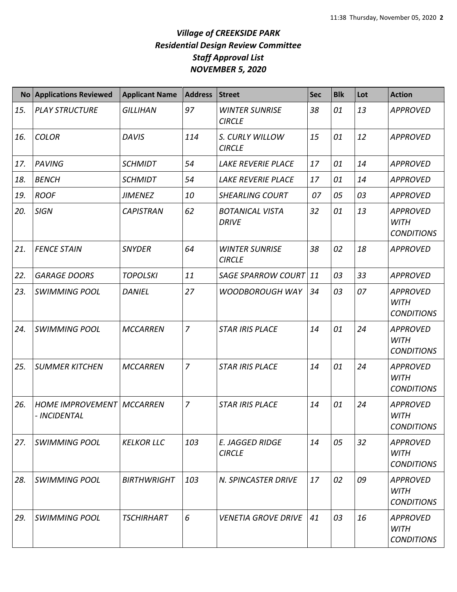|     | No Applications Reviewed                           | <b>Applicant Name</b> | <b>Address</b> | <b>Street</b>                           | <b>Sec</b> | <b>Blk</b> | Lot | <b>Action</b>                                       |
|-----|----------------------------------------------------|-----------------------|----------------|-----------------------------------------|------------|------------|-----|-----------------------------------------------------|
| 15. | <b>PLAY STRUCTURE</b>                              | <b>GILLIHAN</b>       | 97             | <b>WINTER SUNRISE</b><br><b>CIRCLE</b>  | 38         | 01         | 13  | <b>APPROVED</b>                                     |
| 16. | <b>COLOR</b>                                       | <b>DAVIS</b>          | 114            | S. CURLY WILLOW<br><b>CIRCLE</b>        | 15         | 01         | 12  | <b>APPROVED</b>                                     |
| 17. | <b>PAVING</b>                                      | <b>SCHMIDT</b>        | 54             | <b>LAKE REVERIE PLACE</b>               | 17         | 01         | 14  | <b>APPROVED</b>                                     |
| 18. | <b>BENCH</b>                                       | <b>SCHMIDT</b>        | 54             | LAKE REVERIE PLACE                      | 17         | 01         | 14  | <b>APPROVED</b>                                     |
| 19. | <b>ROOF</b>                                        | <b>JIMENEZ</b>        | 10             | <b>SHEARLING COURT</b>                  | 07         | 05         | 03  | <b>APPROVED</b>                                     |
| 20. | <b>SIGN</b>                                        | <b>CAPISTRAN</b>      | 62             | <b>BOTANICAL VISTA</b><br><b>DRIVE</b>  | 32         | 01         | 13  | <b>APPROVED</b><br><b>WITH</b><br><b>CONDITIONS</b> |
| 21. | <b>FENCE STAIN</b>                                 | <b>SNYDER</b>         | 64             | <b>WINTER SUNRISE</b><br><b>CIRCLE</b>  | 38         | 02         | 18  | <b>APPROVED</b>                                     |
| 22. | <b>GARAGE DOORS</b>                                | <b>TOPOLSKI</b>       | 11             | <b>SAGE SPARROW COURT</b>               | 11         | 03         | 33  | <b>APPROVED</b>                                     |
| 23. | <b>SWIMMING POOL</b>                               | <b>DANIEL</b>         | 27             | <b>WOODBOROUGH WAY</b>                  | 34         | 03         | 07  | <b>APPROVED</b><br><b>WITH</b><br><b>CONDITIONS</b> |
| 24. | <b>SWIMMING POOL</b>                               | <b>MCCARREN</b>       | 7              | <b>STAR IRIS PLACE</b>                  | 14         | 01         | 24  | <b>APPROVED</b><br><b>WITH</b><br><b>CONDITIONS</b> |
| 25. | <b>SUMMER KITCHEN</b>                              | <b>MCCARREN</b>       | $\overline{z}$ | <b>STAR IRIS PLACE</b>                  | 14         | 01         | 24  | <b>APPROVED</b><br><b>WITH</b><br><b>CONDITIONS</b> |
| 26. | <b>HOME IMPROVEMENT   MCCARREN</b><br>- INCIDENTAL |                       | 7              | <b>STAR IRIS PLACE</b>                  | 14         | 01         | 24  | <b>APPROVED</b><br><b>WITH</b><br><b>CONDITIONS</b> |
| 27. | <b>SWIMMING POOL</b>                               | <b>KELKOR LLC</b>     | 103            | <b>E. JAGGED RIDGE</b><br><b>CIRCLE</b> | 14         | 05         | 32  | <b>APPROVED</b><br><b>WITH</b><br><b>CONDITIONS</b> |
| 28. | <b>SWIMMING POOL</b>                               | <b>BIRTHWRIGHT</b>    | 103            | N. SPINCASTER DRIVE                     | 17         | 02         | 09  | <b>APPROVED</b><br><b>WITH</b><br><b>CONDITIONS</b> |
| 29. | <b>SWIMMING POOL</b>                               | <b>TSCHIRHART</b>     | 6              | <b>VENETIA GROVE DRIVE</b>              | 41         | 03         | 16  | <b>APPROVED</b><br><b>WITH</b><br><b>CONDITIONS</b> |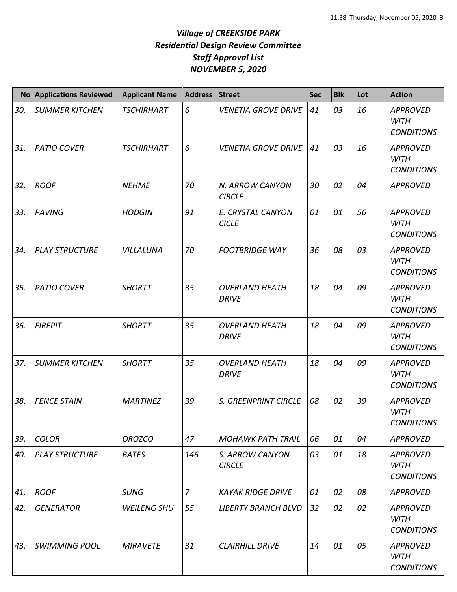|     | No Applications Reviewed | <b>Applicant Name</b> | <b>Address</b> | <b>Street</b>                         | <b>Sec</b> | <b>Blk</b> | Lot | <b>Action</b>                                       |
|-----|--------------------------|-----------------------|----------------|---------------------------------------|------------|------------|-----|-----------------------------------------------------|
| 30. | <b>SUMMER KITCHEN</b>    | <b>TSCHIRHART</b>     | 6              | <b>VENETIA GROVE DRIVE</b>            | 41         | 03         | 16  | <b>APPROVED</b><br><b>WITH</b><br><b>CONDITIONS</b> |
| 31. | <b>PATIO COVER</b>       | <b>TSCHIRHART</b>     | 6              | <b>VENETIA GROVE DRIVE</b>            | 41         | 03         | 16  | <b>APPROVED</b><br><b>WITH</b><br><b>CONDITIONS</b> |
| 32. | <b>ROOF</b>              | <b>NEHME</b>          | 70             | N. ARROW CANYON<br><b>CIRCLE</b>      | 30         | 02         | 04  | <b>APPROVED</b>                                     |
| 33. | <b>PAVING</b>            | <b>HODGIN</b>         | 91             | E. CRYSTAL CANYON<br><b>CICLE</b>     | 01         | 01         | 56  | <b>APPROVED</b><br><b>WITH</b><br><b>CONDITIONS</b> |
| 34. | <b>PLAY STRUCTURE</b>    | VILLALUNA             | 70             | <b>FOOTBRIDGE WAY</b>                 | 36         | 08         | 03  | <b>APPROVED</b><br><b>WITH</b><br><b>CONDITIONS</b> |
| 35. | <b>PATIO COVER</b>       | <b>SHORTT</b>         | 35             | <b>OVERLAND HEATH</b><br><b>DRIVE</b> | 18         | 04         | 09  | <b>APPROVED</b><br><b>WITH</b><br><b>CONDITIONS</b> |
| 36. | <b>FIREPIT</b>           | <b>SHORTT</b>         | 35             | <b>OVERLAND HEATH</b><br><b>DRIVE</b> | 18         | 04         | 09  | <b>APPROVED</b><br><b>WITH</b><br><b>CONDITIONS</b> |
| 37. | <b>SUMMER KITCHEN</b>    | <b>SHORTT</b>         | 35             | <b>OVERLAND HEATH</b><br><b>DRIVE</b> | 18         | 04         | 09  | <b>APPROVED</b><br><b>WITH</b><br><b>CONDITIONS</b> |
| 38. | <b>FENCE STAIN</b>       | <b>MARTINEZ</b>       | 39             | S. GREENPRINT CIRCLE                  | 08         | 02         | 39  | <b>APPROVED</b><br><b>WITH</b><br><b>CONDITIONS</b> |
| 39. | <b>COLOR</b>             | <b>OROZCO</b>         | 47             | <b>MOHAWK PATH TRAIL</b>              | 06         | 01         | 04  | <b>APPROVED</b>                                     |
| 40. | <b>PLAY STRUCTURE</b>    | <b>BATES</b>          | 146            | S. ARROW CANYON<br><b>CIRCLE</b>      | 03         | 01         | 18  | <b>APPROVED</b><br><b>WITH</b><br><b>CONDITIONS</b> |
| 41. | <b>ROOF</b>              | <b>SUNG</b>           | $\overline{z}$ | <b>KAYAK RIDGE DRIVE</b>              | 01         | 02         | 08  | <b>APPROVED</b>                                     |
| 42. | <b>GENERATOR</b>         | <b>WEILENG SHU</b>    | 55             | <b>LIBERTY BRANCH BLVD</b>            | 32         | 02         | 02  | <b>APPROVED</b><br><b>WITH</b><br><b>CONDITIONS</b> |
| 43. | <b>SWIMMING POOL</b>     | <b>MIRAVETE</b>       | 31             | <b>CLAIRHILL DRIVE</b>                | 14         | 01         | 05  | <b>APPROVED</b><br><b>WITH</b><br><b>CONDITIONS</b> |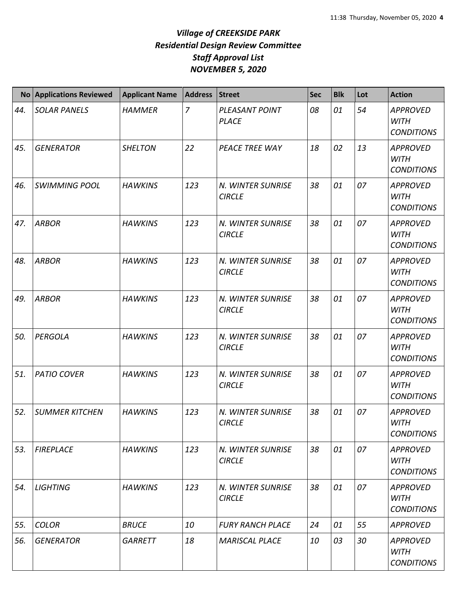|     | No Applications Reviewed | <b>Applicant Name</b> | <b>Address</b> | <b>Street</b>                      | <b>Sec</b> | <b>Blk</b> | Lot | <b>Action</b>                                       |
|-----|--------------------------|-----------------------|----------------|------------------------------------|------------|------------|-----|-----------------------------------------------------|
| 44. | <b>SOLAR PANELS</b>      | <b>HAMMER</b>         | $\overline{7}$ | PLEASANT POINT<br><b>PLACE</b>     | 08         | 01         | 54  | <b>APPROVED</b><br><b>WITH</b><br><b>CONDITIONS</b> |
| 45. | <b>GENERATOR</b>         | <b>SHELTON</b>        | 22             | PEACE TREE WAY                     | 18         | 02         | 13  | <b>APPROVED</b><br><b>WITH</b><br><b>CONDITIONS</b> |
| 46. | <b>SWIMMING POOL</b>     | <b>HAWKINS</b>        | 123            | N. WINTER SUNRISE<br><b>CIRCLE</b> | 38         | 01         | 07  | <b>APPROVED</b><br><b>WITH</b><br><b>CONDITIONS</b> |
| 47. | <b>ARBOR</b>             | <b>HAWKINS</b>        | 123            | N. WINTER SUNRISE<br><b>CIRCLE</b> | 38         | 01         | 07  | <b>APPROVED</b><br><b>WITH</b><br><b>CONDITIONS</b> |
| 48. | <b>ARBOR</b>             | <b>HAWKINS</b>        | 123            | N. WINTER SUNRISE<br><b>CIRCLE</b> | 38         | 01         | 07  | <b>APPROVED</b><br><b>WITH</b><br><b>CONDITIONS</b> |
| 49. | <b>ARBOR</b>             | <b>HAWKINS</b>        | 123            | N. WINTER SUNRISE<br><b>CIRCLE</b> | 38         | 01         | 07  | <b>APPROVED</b><br><b>WITH</b><br><b>CONDITIONS</b> |
| 50. | <b>PERGOLA</b>           | <b>HAWKINS</b>        | 123            | N. WINTER SUNRISE<br><b>CIRCLE</b> | 38         | 01         | 07  | <b>APPROVED</b><br><b>WITH</b><br><b>CONDITIONS</b> |
| 51. | <b>PATIO COVER</b>       | <b>HAWKINS</b>        | 123            | N. WINTER SUNRISE<br><b>CIRCLE</b> | 38         | 01         | 07  | <b>APPROVED</b><br><b>WITH</b><br><b>CONDITIONS</b> |
| 52. | <b>SUMMER KITCHEN</b>    | <b>HAWKINS</b>        | 123            | N. WINTER SUNRISE<br><b>CIRCLE</b> | 38         | 01         | 07  | <b>APPROVED</b><br><b>WITH</b><br><b>CONDITIONS</b> |
| 53. | <b>FIREPLACE</b>         | <b>HAWKINS</b>        | 123            | N. WINTER SUNRISE<br><b>CIRCLE</b> | 38         | 01         | 07  | <b>APPROVED</b><br><b>WITH</b><br><b>CONDITIONS</b> |
| 54. | <b>LIGHTING</b>          | <b>HAWKINS</b>        | 123            | N. WINTER SUNRISE<br><b>CIRCLE</b> | 38         | 01         | 07  | <b>APPROVED</b><br><b>WITH</b><br><b>CONDITIONS</b> |
| 55. | <b>COLOR</b>             | <b>BRUCE</b>          | 10             | <b>FURY RANCH PLACE</b>            | 24         | 01         | 55  | <b>APPROVED</b>                                     |
| 56. | <b>GENERATOR</b>         | <b>GARRETT</b>        | 18             | <b>MARISCAL PLACE</b>              | 10         | 03         | 30  | <b>APPROVED</b><br><b>WITH</b><br><b>CONDITIONS</b> |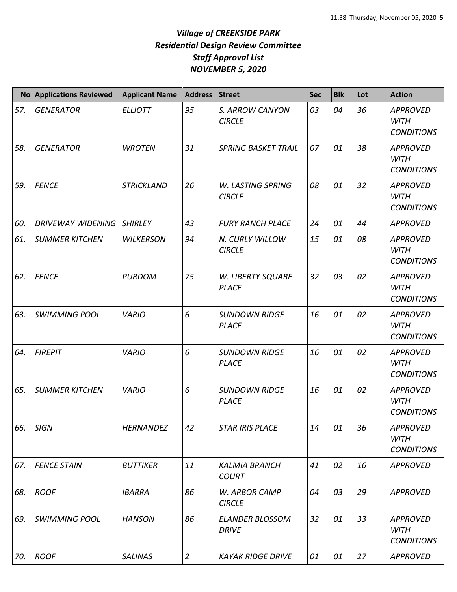|     | No Applications Reviewed | <b>Applicant Name</b> | <b>Address</b> | <b>Street</b>                          | <b>Sec</b> | <b>Blk</b> | Lot | <b>Action</b>                                       |
|-----|--------------------------|-----------------------|----------------|----------------------------------------|------------|------------|-----|-----------------------------------------------------|
| 57. | <b>GENERATOR</b>         | <b>ELLIOTT</b>        | 95             | S. ARROW CANYON<br><b>CIRCLE</b>       | 03         | 04         | 36  | <b>APPROVED</b><br><b>WITH</b><br><b>CONDITIONS</b> |
| 58. | <b>GENERATOR</b>         | <b>WROTEN</b>         | 31             | <b>SPRING BASKET TRAIL</b>             | 07         | 01         | 38  | <b>APPROVED</b><br><b>WITH</b><br><b>CONDITIONS</b> |
| 59. | <b>FENCE</b>             | <b>STRICKLAND</b>     | 26             | W. LASTING SPRING<br><b>CIRCLE</b>     | 08         | 01         | 32  | <b>APPROVED</b><br><b>WITH</b><br><b>CONDITIONS</b> |
| 60. | <b>DRIVEWAY WIDENING</b> | <b>SHIRLEY</b>        | 43             | <b>FURY RANCH PLACE</b>                | 24         | 01         | 44  | <b>APPROVED</b>                                     |
| 61. | <b>SUMMER KITCHEN</b>    | <b>WILKERSON</b>      | 94             | N. CURLY WILLOW<br><b>CIRCLE</b>       | 15         | 01         | 08  | <b>APPROVED</b><br><b>WITH</b><br><b>CONDITIONS</b> |
| 62. | <b>FENCE</b>             | <b>PURDOM</b>         | 75             | W. LIBERTY SQUARE<br><b>PLACE</b>      | 32         | 03         | 02  | <b>APPROVED</b><br><b>WITH</b><br><b>CONDITIONS</b> |
| 63. | <b>SWIMMING POOL</b>     | <b>VARIO</b>          | 6              | <b>SUNDOWN RIDGE</b><br><b>PLACE</b>   | 16         | 01         | 02  | <b>APPROVED</b><br><b>WITH</b><br><b>CONDITIONS</b> |
| 64. | <b>FIREPIT</b>           | <b>VARIO</b>          | 6              | <b>SUNDOWN RIDGE</b><br><b>PLACE</b>   | 16         | 01         | 02  | <b>APPROVED</b><br><b>WITH</b><br><b>CONDITIONS</b> |
| 65. | <b>SUMMER KITCHEN</b>    | <b>VARIO</b>          | 6              | <b>SUNDOWN RIDGE</b><br><b>PLACE</b>   | 16         | 01         | 02  | <b>APPROVED</b><br><b>WITH</b><br><b>CONDITIONS</b> |
| 66. | <b>SIGN</b>              | <b>HERNANDEZ</b>      | 42             | <b>STAR IRIS PLACE</b>                 | 14         | 01         | 36  | <b>APPROVED</b><br><b>WITH</b><br><b>CONDITIONS</b> |
| 67. | <b>FENCE STAIN</b>       | <b>BUTTIKER</b>       | 11             | <b>KALMIA BRANCH</b><br><b>COURT</b>   | 41         | 02         | 16  | <b>APPROVED</b>                                     |
| 68. | <b>ROOF</b>              | <b>IBARRA</b>         | 86             | W. ARBOR CAMP<br><b>CIRCLE</b>         | 04         | 03         | 29  | <b>APPROVED</b>                                     |
| 69. | <b>SWIMMING POOL</b>     | <b>HANSON</b>         | 86             | <b>ELANDER BLOSSOM</b><br><b>DRIVE</b> | 32         | 01         | 33  | <b>APPROVED</b><br><b>WITH</b><br><b>CONDITIONS</b> |
| 70. | <b>ROOF</b>              | <b>SALINAS</b>        | $\overline{2}$ | <b>KAYAK RIDGE DRIVE</b>               | 01         | 01         | 27  | <b>APPROVED</b>                                     |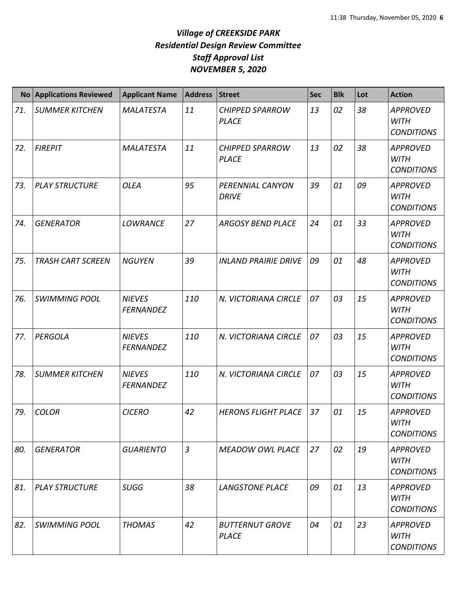|     | No Applications Reviewed | <b>Applicant Name</b>             | <b>Address</b> | <b>Street</b>                          | <b>Sec</b> | <b>Blk</b> | Lot | <b>Action</b>                                       |
|-----|--------------------------|-----------------------------------|----------------|----------------------------------------|------------|------------|-----|-----------------------------------------------------|
| 71. | <b>SUMMER KITCHEN</b>    | <b>MALATESTA</b>                  | 11             | <b>CHIPPED SPARROW</b><br><b>PLACE</b> | 13         | 02         | 38  | <b>APPROVED</b><br><b>WITH</b><br><b>CONDITIONS</b> |
| 72. | <b>FIREPIT</b>           | <b>MALATESTA</b>                  | 11             | <b>CHIPPED SPARROW</b><br><b>PLACE</b> | 13         | 02         | 38  | <b>APPROVED</b><br><b>WITH</b><br><b>CONDITIONS</b> |
| 73. | <b>PLAY STRUCTURE</b>    | <b>OLEA</b>                       | 95             | PERENNIAL CANYON<br><b>DRIVE</b>       | 39         | 01         | 09  | <b>APPROVED</b><br><b>WITH</b><br><b>CONDITIONS</b> |
| 74. | <b>GENERATOR</b>         | <b>LOWRANCE</b>                   | 27             | <b>ARGOSY BEND PLACE</b>               | 24         | 01         | 33  | <b>APPROVED</b><br><b>WITH</b><br><b>CONDITIONS</b> |
| 75. | <b>TRASH CART SCREEN</b> | <b>NGUYEN</b>                     | 39             | <b>INLAND PRAIRIE DRIVE</b>            | 09         | 01         | 48  | <b>APPROVED</b><br><b>WITH</b><br><b>CONDITIONS</b> |
| 76. | <b>SWIMMING POOL</b>     | <b>NIEVES</b><br><b>FERNANDEZ</b> | 110            | N. VICTORIANA CIRCLE                   | 07         | 03         | 15  | <b>APPROVED</b><br><b>WITH</b><br><b>CONDITIONS</b> |
| 77. | <b>PERGOLA</b>           | <b>NIEVES</b><br><b>FERNANDEZ</b> | 110            | N. VICTORIANA CIRCLE                   | 07         | 03         | 15  | <b>APPROVED</b><br><b>WITH</b><br><b>CONDITIONS</b> |
| 78. | <b>SUMMER KITCHEN</b>    | <b>NIEVES</b><br><b>FERNANDEZ</b> | 110            | N. VICTORIANA CIRCLE                   | 07         | 03         | 15  | <b>APPROVED</b><br><b>WITH</b><br><b>CONDITIONS</b> |
| 79. | <b>COLOR</b>             | <b>CICERO</b>                     | 42             | <b>HERONS FLIGHT PLACE</b>             | 37         | 01         | 15  | <b>APPROVED</b><br>WITH<br><b>CONDITIONS</b>        |
| 80. | <b>GENERATOR</b>         | <b>GUARIENTO</b>                  | $\mathfrak{Z}$ | <b>MEADOW OWL PLACE</b>                | 27         | 02         | 19  | <b>APPROVED</b><br><b>WITH</b><br><b>CONDITIONS</b> |
| 81. | <b>PLAY STRUCTURE</b>    | <b>SUGG</b>                       | 38             | <b>LANGSTONE PLACE</b>                 | 09         | 01         | 13  | <b>APPROVED</b><br><b>WITH</b><br><b>CONDITIONS</b> |
| 82. | <b>SWIMMING POOL</b>     | <b>THOMAS</b>                     | 42             | <b>BUTTERNUT GROVE</b><br>PLACE        | 04         | 01         | 23  | <b>APPROVED</b><br><b>WITH</b><br><b>CONDITIONS</b> |